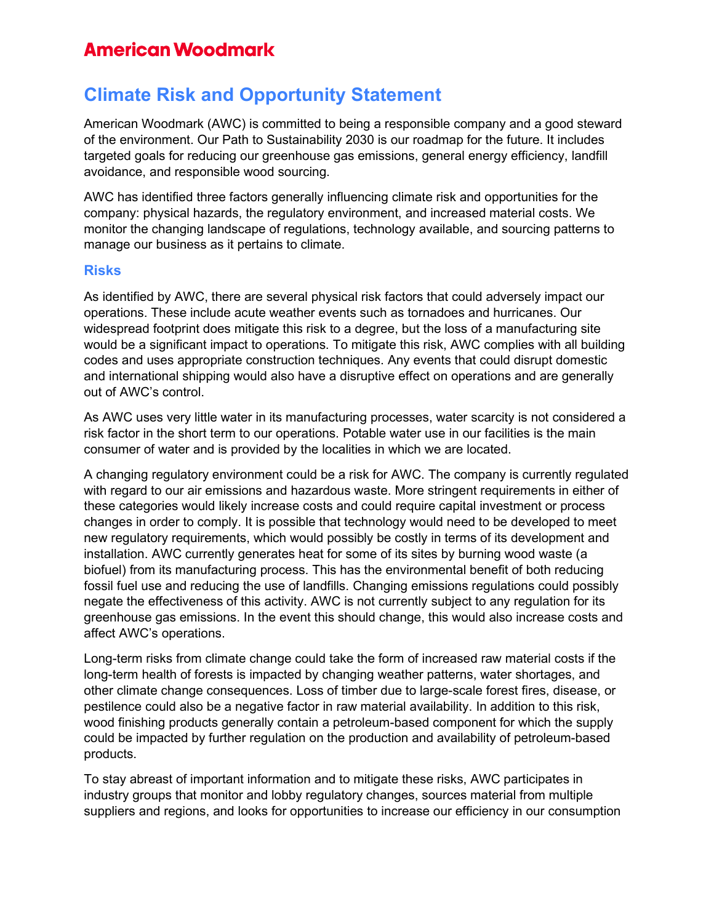### **American Woodmark**

# **Climate Risk and Opportunity Statement**

American Woodmark (AWC) is committed to being a responsible company and a good steward of the environment. Our Path to Sustainability 2030 is our roadmap for the future. It includes targeted goals for reducing our greenhouse gas emissions, general energy efficiency, landfill avoidance, and responsible wood sourcing.

AWC has identified three factors generally influencing climate risk and opportunities for the company: physical hazards, the regulatory environment, and increased material costs. We monitor the changing landscape of regulations, technology available, and sourcing patterns to manage our business as it pertains to climate.

#### **Risks**

As identified by AWC, there are several physical risk factors that could adversely impact our operations. These include acute weather events such as tornadoes and hurricanes. Our widespread footprint does mitigate this risk to a degree, but the loss of a manufacturing site would be a significant impact to operations. To mitigate this risk, AWC complies with all building codes and uses appropriate construction techniques. Any events that could disrupt domestic and international shipping would also have a disruptive effect on operations and are generally out of AWC's control.

As AWC uses very little water in its manufacturing processes, water scarcity is not considered a risk factor in the short term to our operations. Potable water use in our facilities is the main consumer of water and is provided by the localities in which we are located.

A changing regulatory environment could be a risk for AWC. The company is currently regulated with regard to our air emissions and hazardous waste. More stringent requirements in either of these categories would likely increase costs and could require capital investment or process changes in order to comply. It is possible that technology would need to be developed to meet new regulatory requirements, which would possibly be costly in terms of its development and installation. AWC currently generates heat for some of its sites by burning wood waste (a biofuel) from its manufacturing process. This has the environmental benefit of both reducing fossil fuel use and reducing the use of landfills. Changing emissions regulations could possibly negate the effectiveness of this activity. AWC is not currently subject to any regulation for its greenhouse gas emissions. In the event this should change, this would also increase costs and affect AWC's operations.

Long-term risks from climate change could take the form of increased raw material costs if the long-term health of forests is impacted by changing weather patterns, water shortages, and other climate change consequences. Loss of timber due to large-scale forest fires, disease, or pestilence could also be a negative factor in raw material availability. In addition to this risk, wood finishing products generally contain a petroleum-based component for which the supply could be impacted by further regulation on the production and availability of petroleum-based products.

To stay abreast of important information and to mitigate these risks, AWC participates in industry groups that monitor and lobby regulatory changes, sources material from multiple suppliers and regions, and looks for opportunities to increase our efficiency in our consumption